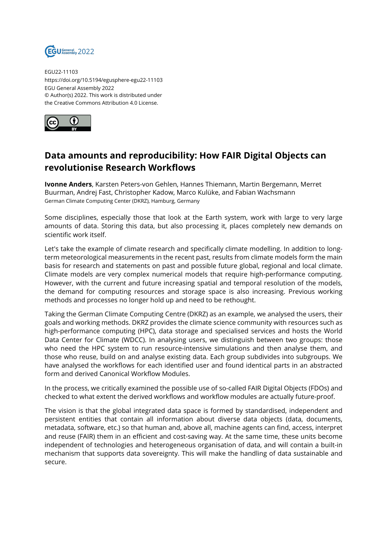

EGU22-11103 https://doi.org/10.5194/egusphere-egu22-11103 EGU General Assembly 2022 © Author(s) 2022. This work is distributed under the Creative Commons Attribution 4.0 License.



## **Data amounts and reproducibility: How FAIR Digital Objects can revolutionise Research Workflows**

**Ivonne Anders**, Karsten Peters-von Gehlen, Hannes Thiemann, Martin Bergemann, Merret Buurman, Andrej Fast, Christopher Kadow, Marco Kulüke, and Fabian Wachsmann German Climate Computing Center (DKRZ), Hamburg, Germany

Some disciplines, especially those that look at the Earth system, work with large to very large amounts of data. Storing this data, but also processing it, places completely new demands on scientific work itself.

Let's take the example of climate research and specifically climate modelling. In addition to longterm meteorological measurements in the recent past, results from climate models form the main basis for research and statements on past and possible future global, regional and local climate. Climate models are very complex numerical models that require high-performance computing. However, with the current and future increasing spatial and temporal resolution of the models, the demand for computing resources and storage space is also increasing. Previous working methods and processes no longer hold up and need to be rethought.

Taking the German Climate Computing Centre (DKRZ) as an example, we analysed the users, their goals and working methods. DKRZ provides the climate science community with resources such as high-performance computing (HPC), data storage and specialised services and hosts the World Data Center for Climate (WDCC). In analysing users, we distinguish between two groups: those who need the HPC system to run resource-intensive simulations and then analyse them, and those who reuse, build on and analyse existing data. Each group subdivides into subgroups. We have analysed the workflows for each identified user and found identical parts in an abstracted form and derived Canonical Workflow Modules.

In the process, we critically examined the possible use of so-called FAIR Digital Objects (FDOs) and checked to what extent the derived workflows and workflow modules are actually future-proof.

The vision is that the global integrated data space is formed by standardised, independent and persistent entities that contain all information about diverse data objects (data, documents, metadata, software, etc.) so that human and, above all, machine agents can find, access, interpret and reuse (FAIR) them in an efficient and cost-saving way. At the same time, these units become independent of technologies and heterogeneous organisation of data, and will contain a built-in mechanism that supports data sovereignty. This will make the handling of data sustainable and secure.